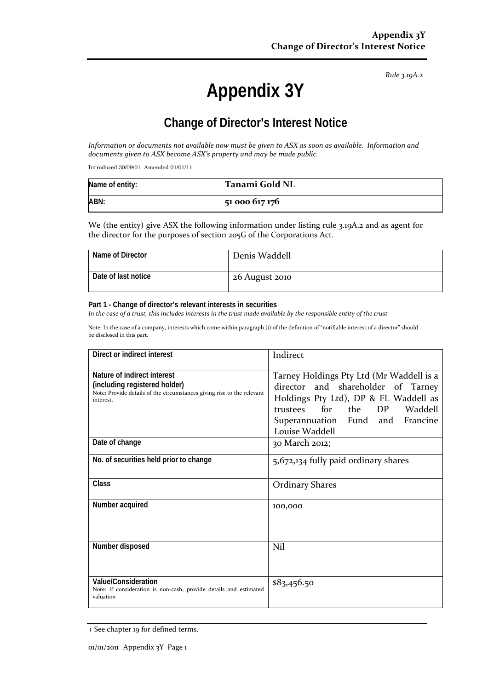*Rule 3.19A.2*

# **Appendix 3Y**

# **Change of Director's Interest Notice**

*Information or documents not available now must be given to ASX as soon as available. Information and documents given to ASX become ASX's property and may be made public.*

Introduced 30/09/01 Amended 01/01/11

| Name of entity: | Tanami Gold NL |
|-----------------|----------------|
| ABN:            | 51 000 617 176 |

We (the entity) give ASX the following information under listing rule 3.19A.2 and as agent for the director for the purposes of section 205G of the Corporations Act.

| Name of Director    | Denis Waddell  |
|---------------------|----------------|
| Date of last notice | 26 August 2010 |

#### **Part 1 - Change of director's relevant interests in securities**

*In the case of a trust, this includes interests in the trust made available by the responsible entity of the trust*

Note: In the case of a company, interests which come within paragraph (i) of the definition of "notifiable interest of a director" should be disclosed in this part.

| Direct or indirect interest                                                                                                                         | Indirect                                                                                                                                                                                                           |
|-----------------------------------------------------------------------------------------------------------------------------------------------------|--------------------------------------------------------------------------------------------------------------------------------------------------------------------------------------------------------------------|
| Nature of indirect interest<br>(including registered holder)<br>Note: Provide details of the circumstances giving rise to the relevant<br>interest. | Tarney Holdings Pty Ltd (Mr Waddell is a<br>director and shareholder of Tarney<br>Holdings Pty Ltd), DP & FL Waddell as<br>for<br>the DP Waddell<br>trustees<br>Superannuation Fund and Francine<br>Louise Waddell |
| Date of change                                                                                                                                      | 30 March 2012;                                                                                                                                                                                                     |
| No. of securities held prior to change                                                                                                              | 5,672,134 fully paid ordinary shares                                                                                                                                                                               |
| Class                                                                                                                                               | <b>Ordinary Shares</b>                                                                                                                                                                                             |
| Number acquired                                                                                                                                     | 100,000                                                                                                                                                                                                            |
| Number disposed                                                                                                                                     | Nil                                                                                                                                                                                                                |
| <b>Value/Consideration</b><br>Note: If consideration is non-cash, provide details and estimated<br>valuation                                        | \$83,456.50                                                                                                                                                                                                        |

<sup>+</sup> See chapter 19 for defined terms.